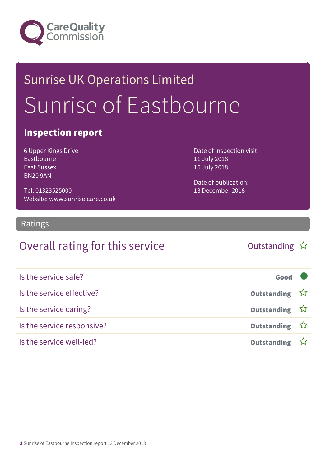

# Sunrise UK Operations Limited Sunrise of Eastbourne

### Inspection report

6 Upper Kings Drive Eastbourne East Sussex BN20 9AN

Tel: 01323525000 Website: www.sunrise.care.co.uk Date of inspection visit: 11 July 2018 16 July 2018

Date of publication: 13 December 2018

### Ratings

### Overall rating for this service and the Cutstanding  $\hat{x}$

| Is the service safe?       | Good               |  |
|----------------------------|--------------------|--|
| Is the service effective?  | Outstanding ☆      |  |
| Is the service caring?     | Outstanding ☆      |  |
| Is the service responsive? | Outstanding ☆      |  |
| Is the service well-led?   | <b>Outstanding</b> |  |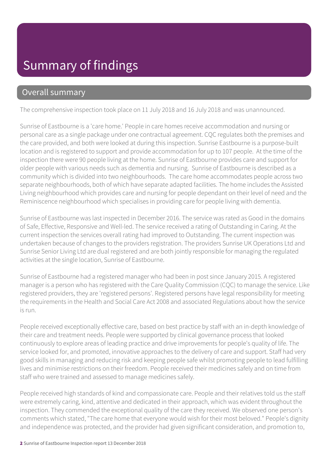## Summary of findings

### Overall summary

The comprehensive inspection took place on 11 July 2018 and 16 July 2018 and was unannounced.

Sunrise of Eastbourne is a 'care home.' People in care homes receive accommodation and nursing or personal care as a single package under one contractual agreement. CQC regulates both the premises and the care provided, and both were looked at during this inspection. Sunrise Eastbourne is a purpose-built location and is registered to support and provide accommodation for up to 107 people. At the time of the inspection there were 90 people living at the home. Sunrise of Eastbourne provides care and support for older people with various needs such as dementia and nursing. Sunrise of Eastbourne is described as a community which is divided into two neighbourhoods. The care home accommodates people across two separate neighbourhoods, both of which have separate adapted facilities. The home includes the Assisted Living neighbourhood which provides care and nursing for people dependant on their level of need and the Reminiscence neighbourhood which specialises in providing care for people living with dementia.

Sunrise of Eastbourne was last inspected in December 2016. The service was rated as Good in the domains of Safe, Effective, Responsive and Well-led. The service received a rating of Outstanding in Caring. At the current inspection the services overall rating had improved to Outstanding. The current inspection was undertaken because of changes to the providers registration. The providers Sunrise UK Operations Ltd and Sunrise Senior Living Ltd are dual registered and are both jointly responsible for managing the regulated activities at the single location, Sunrise of Eastbourne.

Sunrise of Eastbourne had a registered manager who had been in post since January 2015. A registered manager is a person who has registered with the Care Quality Commission (CQC) to manage the service. Like registered providers, they are 'registered persons'. Registered persons have legal responsibility for meeting the requirements in the Health and Social Care Act 2008 and associated Regulations about how the service is run.

People received exceptionally effective care, based on best practice by staff with an in-depth knowledge of their care and treatment needs. People were supported by clinical governance process that looked continuously to explore areas of leading practice and drive improvements for people's quality of life. The service looked for, and promoted, innovative approaches to the delivery of care and support. Staff had very good skills in managing and reducing risk and keeping people safe whilst promoting people to lead fulfilling lives and minimise restrictions on their freedom. People received their medicines safely and on time from staff who were trained and assessed to manage medicines safely.

People received high standards of kind and compassionate care. People and their relatives told us the staff were extremely caring, kind, attentive and dedicated in their approach, which was evident throughout the inspection. They commended the exceptional quality of the care they received. We observed one person's comments which stated, "The care home that everyone would wish for their most beloved." People's dignity and independence was protected, and the provider had given significant consideration, and promotion to,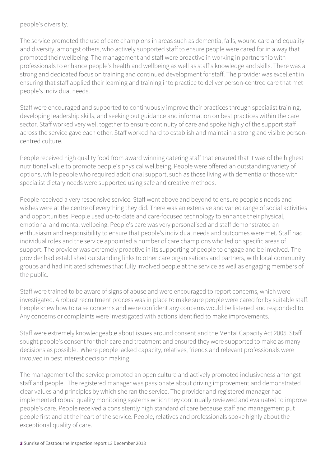#### people's diversity.

The service promoted the use of care champions in areas such as dementia, falls, wound care and equality and diversity, amongst others, who actively supported staff to ensure people were cared for in a way that promoted their wellbeing. The management and staff were proactive in working in partnership with professionals to enhance people's health and wellbeing as well as staff's knowledge and skills. There was a strong and dedicated focus on training and continued development for staff. The provider was excellent in ensuring that staff applied their learning and training into practice to deliver person-centred care that met people's individual needs.

Staff were encouraged and supported to continuously improve their practices through specialist training, developing leadership skills, and seeking out guidance and information on best practices within the care sector. Staff worked very well together to ensure continuity of care and spoke highly of the support staff across the service gave each other. Staff worked hard to establish and maintain a strong and visible personcentred culture.

People received high quality food from award winning catering staff that ensured that it was of the highest nutritional value to promote people's physical wellbeing. People were offered an outstanding variety of options, while people who required additional support, such as those living with dementia or those with specialist dietary needs were supported using safe and creative methods.

People received a very responsive service. Staff went above and beyond to ensure people's needs and wishes were at the centre of everything they did. There was an extensive and varied range of social activities and opportunities. People used up-to-date and care-focused technology to enhance their physical, emotional and mental wellbeing. People's care was very personalised and staff demonstrated an enthusiasm and responsibility to ensure that people's individual needs and outcomes were met. Staff had individual roles and the service appointed a number of care champions who led on specific areas of support. The provider was extremely proactive in its supporting of people to engage and be involved. The provider had established outstanding links to other care organisations and partners, with local community groups and had initiated schemes that fully involved people at the service as well as engaging members of the public.

Staff were trained to be aware of signs of abuse and were encouraged to report concerns, which were investigated. A robust recruitment process was in place to make sure people were cared for by suitable staff. People knew how to raise concerns and were confident any concerns would be listened and responded to. Any concerns or complaints were investigated with actions identified to make improvements.

Staff were extremely knowledgeable about issues around consent and the Mental Capacity Act 2005. Staff sought people's consent for their care and treatment and ensured they were supported to make as many decisions as possible. Where people lacked capacity, relatives, friends and relevant professionals were involved in best interest decision making.

The management of the service promoted an open culture and actively promoted inclusiveness amongst staff and people. The registered manager was passionate about driving improvement and demonstrated clear values and principles by which she ran the service. The provider and registered manager had implemented robust quality monitoring systems which they continually reviewed and evaluated to improve people's care. People received a consistently high standard of care because staff and management put people first and at the heart of the service. People, relatives and professionals spoke highly about the exceptional quality of care.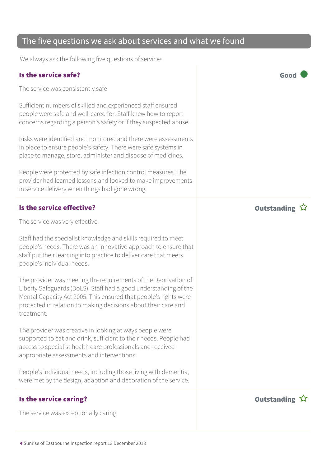### The five questions we ask about services and what we found

We always ask the following five questions of services.

### Is the service safe? Good

The service was consistently safe

Sufficient numbers of skilled and experienced staff ensured people were safe and well-cared for. Staff knew how to report concerns regarding a person's safety or if they suspected abuse.

Risks were identified and monitored and there were assessments in place to ensure people's safety. There were safe systems in place to manage, store, administer and dispose of medicines.

People were protected by safe infection control measures. The provider had learned lessons and looked to make improvements in service delivery when things had gone wrong

### Is the service effective? In the service effective?

The service was very effective.

Staff had the specialist knowledge and skills required to meet people's needs. There was an innovative approach to ensure that staff put their learning into practice to deliver care that meets people's individual needs.

The provider was meeting the requirements of the Deprivation of Liberty Safeguards (DoLS). Staff had a good understanding of the Mental Capacity Act 2005. This ensured that people's rights were protected in relation to making decisions about their care and treatment.

The provider was creative in looking at ways people were supported to eat and drink, sufficient to their needs. People had access to specialist health care professionals and received appropriate assessments and interventions.

People's individual needs, including those living with dementia, were met by the design, adaption and decoration of the service.

#### Is the service caring? The service caring  $\hat{X}$

The service was exceptionally caring



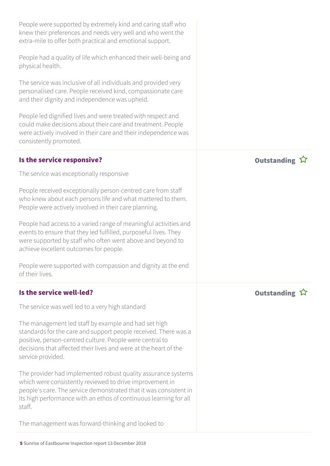People were supported by extremely kind and caring staff who knew their preferences and needs very well and who went the extra-mile to offer both practical and emotional support.

People had a quality of life which enhanced their well-being and physical health.

The service was inclusive of all individuals and provided very personalised care. People received kind, compassionate care and their dignity and independence was upheld.

People led dignified lives and were treated with respect and could make decisions about their care and treatment. People were actively involved in their care and their independence was consistently promoted.

### Is the service responsive? The service responsive?

The service was exceptionally responsive

People received exceptionally person-centred care from staff who knew about each persons life and what mattered to them. People were actively involved in their care planning.

People had access to a varied range of meaningful activities and events to ensure that they led fulfilled, purposeful lives. They were supported by staff who often went above and beyond to achieve excellent outcomes for people.

People were supported with compassion and dignity at the end of their lives.

### Is the service well-led? Outstanding

The service was well led to a very high standard

The management led staff by example and had set high standards for the care and support people received. There was a positive, person-centred culture. People were central to decisions that affected their lives and were at the heart of the service provided.

The provider had implemented robust quality assurance systems which were consistently reviewed to drive improvement in people's care. The service demonstrated that it was consistent in its high performance with an ethos of continuous learning for all staff.

The management was forward-thinking and looked to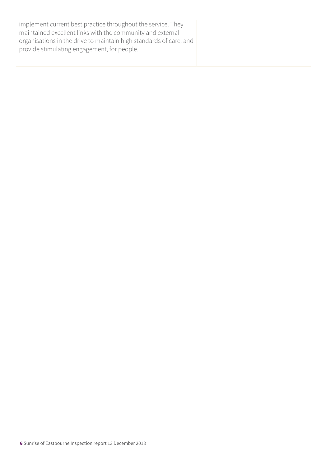implement current best practice throughout the service. They maintained excellent links with the community and external organisations in the drive to maintain high standards of care, and provide stimulating engagement, for people.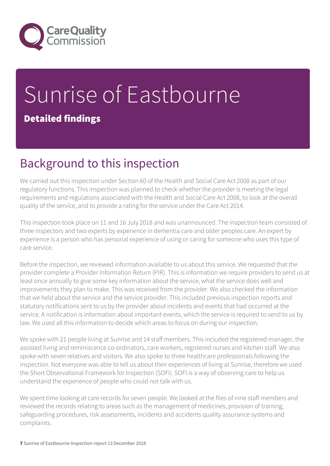

## Sunrise of Eastbourne Detailed findings

## Background to this inspection

We carried out this inspection under Section 60 of the Health and Social Care Act 2008 as part of our regulatory functions. This inspection was planned to check whether the provider is meeting the legal requirements and regulations associated with the Health and Social Care Act 2008, to look at the overall quality of the service, and to provide a rating for the service under the Care Act 2014.

This inspection took place on 11 and 16 July 2018 and was unannounced. The inspection team consisted of three inspectors and two experts by experience in dementia care and older peoples care. An expert by experience is a person who has personal experience of using or caring for someone who uses this type of care service.

Before the inspection, we reviewed information available to us about this service. We requested that the provider complete a Provider Information Return (PIR). This is information we require providers to send us at least once annually to give some key information about the service, what the service does well and improvements they plan to make. This was received from the provider. We also checked the information that we held about the service and the service provider. This included previous inspection reports and statutory notifications sent to us by the provider about incidents and events that had occurred at the service. A notification is information about important events, which the service is required to send to us by law. We used all this information to decide which areas to focus on during our inspection.

We spoke with 21 people living at Sunrise and 14 staff members. This included the registered manager, the assisted living and reminiscence co-ordinators, care workers, registered nurses and kitchen staff. We also spoke with seven relatives and visitors. We also spoke to three healthcare professionals following the inspection. Not everyone was able to tell us about their experiences of living at Sunrise, therefore we used the Short Observational Framework for Inspection (SOFI). SOFI is a way of observing care to help us understand the experience of people who could not talk with us.

We spent time looking at care records for seven people. We looked at the files of nine staff members and reviewed the records relating to areas such as the management of medicines, provision of training, safeguarding procedures, risk assessments, incidents and accidents quality assurance systems and complaints.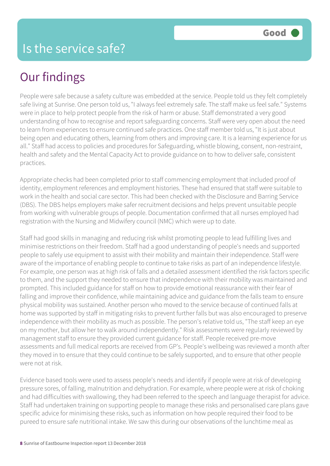## Our findings

People were safe because a safety culture was embedded at the service. People told us they felt completely safe living at Sunrise. One person told us, "I always feel extremely safe. The staff make us feel safe." Systems were in place to help protect people from the risk of harm or abuse. Staff demonstrated a very good understanding of how to recognise and report safeguarding concerns. Staff were very open about the need to learn from experiences to ensure continued safe practices. One staff member told us, "It is just about being open and educating others, learning from others and improving care. It is a learning experience for us all." Staff had access to policies and procedures for Safeguarding, whistle blowing, consent, non-restraint, health and safety and the Mental Capacity Act to provide guidance on to how to deliver safe, consistent practices.

Appropriate checks had been completed prior to staff commencing employment that included proof of identity, employment references and employment histories. These had ensured that staff were suitable to work in the health and social care sector. This had been checked with the Disclosure and Barring Service (DBS). The DBS helps employers make safer recruitment decisions and helps prevent unsuitable people from working with vulnerable groups of people. Documentation confirmed that all nurses employed had registration with the Nursing and Midwifery council (NMC) which were up to date.

Staff had good skills in managing and reducing risk whilst promoting people to lead fulfilling lives and minimise restrictions on their freedom. Staff had a good understanding of people's needs and supported people to safely use equipment to assist with their mobility and maintain their independence. Staff were aware of the importance of enabling people to continue to take risks as part of an independence lifestyle. For example, one person was at high risk of falls and a detailed assessment identified the risk factors specific to them, and the support they needed to ensure that independence with their mobility was maintained and prompted. This included guidance for staff on how to provide emotional reassurance with their fear of falling and improve their confidence, while maintaining advice and guidance from the falls team to ensure physical mobility was sustained. Another person who moved to the service because of continued falls at home was supported by staff in mitigating risks to prevent further falls but was also encouraged to preserve independence with their mobility as much as possible. The person's relative told us, "The staff keep an eye on my mother, but allow her to walk around independently." Risk assessments were regularly reviewed by management staff to ensure they provided current guidance for staff. People received pre-move assessments and full medical reports are received from GP's. People's wellbeing was reviewed a month after they moved in to ensure that they could continue to be safely supported, and to ensure that other people were not at risk.

Evidence based tools were used to assess people's needs and identify if people were at risk of developing pressure sores, of falling, malnutrition and dehydration. For example, where people were at risk of choking and had difficulties with swallowing, they had been referred to the speech and language therapist for advice. Staff had undertaken training on supporting people to manage these risks and personalised care plans gave specific advice for minimising these risks, such as information on how people required their food to be pureed to ensure safe nutritional intake. We saw this during our observations of the lunchtime meal as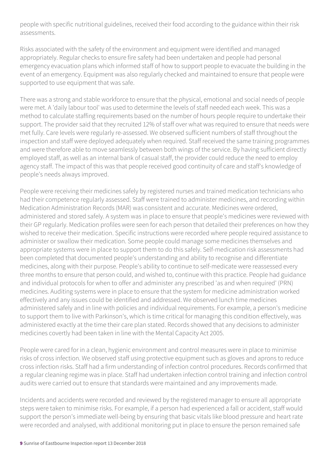people with specific nutritional guidelines, received their food according to the guidance within their risk assessments.

Risks associated with the safety of the environment and equipment were identified and managed appropriately. Regular checks to ensure fire safety had been undertaken and people had personal emergency evacuation plans which informed staff of how to support people to evacuate the building in the event of an emergency. Equipment was also regularly checked and maintained to ensure that people were supported to use equipment that was safe.

There was a strong and stable workforce to ensure that the physical, emotional and social needs of people were met. A 'daily labour tool' was used to determine the levels of staff needed each week. This was a method to calculate staffing requirements based on the number of hours people require to undertake their support. The provider said that they recruited 12% of staff over what was required to ensure that needs were met fully. Care levels were regularly re-assessed. We observed sufficient numbers of staff throughout the inspection and staff were deployed adequately when required. Staff received the same training programmes and were therefore able to move seamlessly between both wings of the service. By having sufficient directly employed staff, as well as an internal bank of casual staff, the provider could reduce the need to employ agency staff. The impact of this was that people received good continuity of care and staff's knowledge of people's needs always improved.

People were receiving their medicines safely by registered nurses and trained medication technicians who had their competence regularly assessed. Staff were trained to administer medicines, and recording within Medication Administration Records (MAR) was consistent and accurate. Medicines were ordered, administered and stored safely. A system was in place to ensure that people's medicines were reviewed with their GP regularly. Medication profiles were seen for each person that detailed their preferences on how they wished to receive their medication. Specific instructions were recorded where people required assistance to administer or swallow their medication. Some people could manage some medicines themselves and appropriate systems were in place to support them to do this safely. Self-medication risk assessments had been completed that documented people's understanding and ability to recognise and differentiate medicines, along with their purpose. People's ability to continue to self-medicate were reassessed every three months to ensure that person could, and wished to, continue with this practice. People had guidance and individual protocols for when to offer and administer any prescribed 'as and when required' (PRN) medicines. Auditing systems were in place to ensure that the system for medicine administration worked effectively and any issues could be identified and addressed. We observed lunch time medicines administered safely and in line with policies and individual requirements. For example, a person's medicine to support them to live with Parkinson's, which is time critical for managing this condition effectively, was administered exactly at the time their care plan stated. Records showed that any decisions to administer medicines covertly had been taken in line with the Mental Capacity Act 2005.

People were cared for in a clean, hygienic environment and control measures were in place to minimise risks of cross infection. We observed staff using protective equipment such as gloves and aprons to reduce cross infection risks. Staff had a firm understanding of infection control procedures. Records confirmed that a regular cleaning regime was in place. Staff had undertaken infection control training and infection control audits were carried out to ensure that standards were maintained and any improvements made.

Incidents and accidents were recorded and reviewed by the registered manager to ensure all appropriate steps were taken to minimise risks. For example, if a person had experienced a fall or accident, staff would support the person's immediate well-being by ensuring that basic vitals like blood pressure and heart rate were recorded and analysed, with additional monitoring put in place to ensure the person remained safe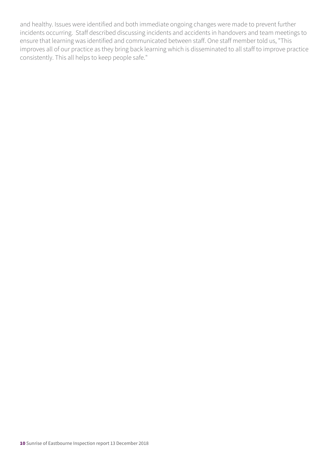and healthy. Issues were identified and both immediate ongoing changes were made to prevent further incidents occurring. Staff described discussing incidents and accidents in handovers and team meetings to ensure that learning was identified and communicated between staff. One staff member told us, "This improves all of our practice as they bring back learning which is disseminated to all staff to improve practice consistently. This all helps to keep people safe."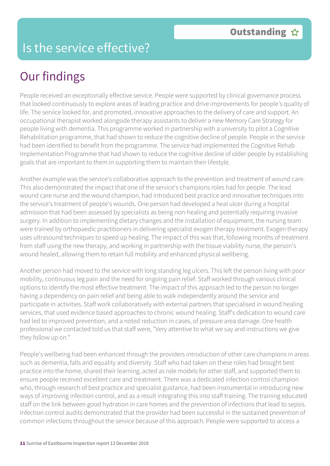## Is the service effective?

## Our findings

People received an exceptionally effective service. People were supported by clinical governance process that looked continuously to explore areas of leading practice and drive improvements for people's quality of life. The service looked for, and promoted, innovative approaches to the delivery of care and support. An occupational therapist worked alongside therapy assistants to deliver a new Memory Care Strategy for people living with dementia. This programme worked in partnership with a university to pilot a Cognitive Rehabilitation programme, that had shown to reduce the cognitive decline of people. People in the service had been identified to benefit from the programme. The service had implemented the Cognitive Rehab Implementation Programme that had shown to reduce the cognitive decline of older people by establishing goals that are important to them in supporting them to maintain their lifestyle.

Another example was the service's collaborative approach to the prevention and treatment of wound care. This also demonstrated the impact that one of the service's champions roles had for people. The lead wound care nurse and the wound champion, had introduced best practice and innovative techniques into the service's treatment of people's wounds. One person had developed a heal ulcer during a hospital admission that had been assessed by specialists as being non-healing and potentially requiring invasive surgery. In addition to implementing dietary changes and the installation of equipment, the nursing team were trained by orthopaedic practitioners in delivering specialist exogen therapy treatment. Exogen therapy uses ultrasound techniques to speed up healing. The impact of this was that, following months of treatment from staff using the new therapy, and working in partnership with the tissue viability nurse, the person's wound healed, allowing them to retain full mobility and enhanced physical wellbeing.

Another person had moved to the service with long standing leg ulcers. This left the person living with poor mobility, continuous leg pain and the need for ongoing pain relief. Staff worked through various clinical options to identify the most effective treatment. The impact of this approach led to the person no longer having a dependency on pain relief and being able to walk independently around the service and participate in activities. Staff work collaboratively with external partners that specialised in wound healing services, that used evidence based approaches to chronic wound healing. Staff's dedication to wound care had led to improved prevention, and a noted reduction in cases, of pressure area damage. One health professional we contacted told us that staff were, "Very attentive to what we say and instructions we give they follow up on."

People's wellbeing had been enhanced through the providers introduction of other care champions in areas such as dementia, falls and equality and diversity. Staff who had taken on these roles had brought best practice into the home, shared their learning, acted as role models for other staff, and supported them to ensure people received excellent care and treatment. There was a dedicated infection control champion who, through research of best practice and specialist guidance, had been instrumental in introducing new ways of improving infection control, and as a result integrating this into staff training. The training educated staff on the link between good hydration in care homes and the prevention of infections that lead to sepsis. Infection control audits demonstrated that the provider had been successful in the sustained prevention of common infections throughout the service because of this approach. People were supported to access a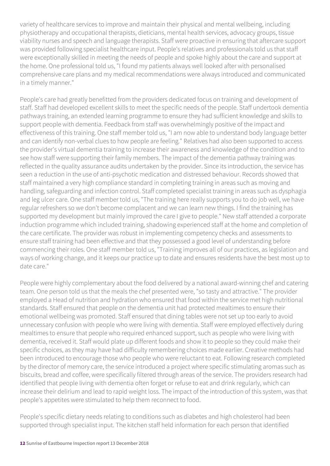variety of healthcare services to improve and maintain their physical and mental wellbeing, including physiotherapy and occupational therapists, dieticians, mental health services, advocacy groups, tissue viability nurses and speech and language therapists. Staff were proactive in ensuring that aftercare support was provided following specialist healthcare input. People's relatives and professionals told us that staff were exceptionally skilled in meeting the needs of people and spoke highly about the care and support at the home. One professional told us, "I found my patients always well looked after with personalised comprehensive care plans and my medical recommendations were always introduced and communicated in a timely manner."

People's care had greatly benefitted from the providers dedicated focus on training and development of staff. Staff had developed excellent skills to meet the specific needs of the people. Staff undertook dementia pathways training, an extended learning programme to ensure they had sufficient knowledge and skills to support people with dementia. Feedback from staff was overwhelmingly positive of the impact and effectiveness of this training. One staff member told us, "I am now able to understand body language better and can identify non-verbal clues to how people are feeling." Relatives had also been supported to access the provider's virtual dementia training to increase their awareness and knowledge of the condition and to see how staff were supporting their family members. The impact of the dementia pathway training was reflected in the quality assurance audits undertaken by the provider. Since its introduction, the service has seen a reduction in the use of anti-psychotic medication and distressed behaviour. Records showed that staff maintained a very high compliance standard in completing training in areas such as moving and handling, safeguarding and infection control. Staff completed specialist training in areas such as dysphagia and leg ulcer care. One staff member told us, "The training here really supports you to do job well, we have regular refreshers so we don't become complacent and we can learn new things. I find the training has supported my development but mainly improved the care I give to people." New staff attended a corporate induction programme which included training, shadowing experienced staff at the home and completion of the care certificate. The provider was robust in implementing competency checks and assessments to ensure staff training had been effective and that they possessed a good level of understanding before commencing their roles. One staff member told us, "Training improves all of our practices, as legislation and ways of working change, and it keeps our practice up to date and ensures residents have the best most up to date care."

People were highly complementary about the food delivered by a national award-winning chef and catering team. One person told us that the meals the chef presented were, "so tasty and attractive." The provider employed a Head of nutrition and hydration who ensured that food within the service met high nutritional standards. Staff ensured that people on the dementia unit had protected mealtimes to ensure their emotional wellbeing was promoted. Staff ensured that dining tables were not set up too early to avoid unnecessary confusion with people who were living with dementia. Staff were employed effectively during mealtimes to ensure that people who required enhanced support, such as people who were living with dementia, received it. Staff would plate up different foods and show it to people so they could make their specific choices, as they may have had difficulty remembering choices made earlier. Creative methods had been introduced to encourage those who people who were reluctant to eat. Following research completed by the director of memory care, the service introduced a project where specific stimulating aromas such as biscuits, bread and coffee, were specifically filtered through areas of the service. The providers research had identified that people living with dementia often forget or refuse to eat and drink regularly, which can increase their delirium and lead to rapid weight loss. The impact of the introduction of this system, was that people's appetites were stimulated to help them reconnect to food.

People's specific dietary needs relating to conditions such as diabetes and high cholesterol had been supported through specialist input. The kitchen staff held information for each person that identified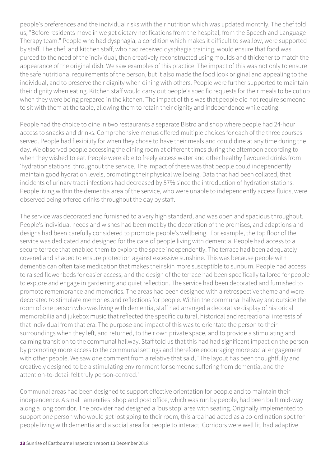people's preferences and the individual risks with their nutrition which was updated monthly. The chef told us, "Before residents move in we get dietary notifications from the hospital, from the Speech and Language Therapy team." People who had dysphagia, a condition which makes it difficult to swallow, were supported by staff. The chef, and kitchen staff, who had received dysphagia training, would ensure that food was pureed to the need of the individual, then creatively reconstructed using moulds and thickener to match the appearance of the original dish. We saw examples of this practice. The impact of this was not only to ensure the safe nutritional requirements of the person, but it also made the food look original and appealing to the individual, and to preserve their dignity when dining with others. People were further supported to maintain their dignity when eating. Kitchen staff would carry out people's specific requests for their meals to be cut up when they were being prepared in the kitchen. The impact of this was that people did not require someone to sit with them at the table, allowing them to retain their dignity and independence while eating.

People had the choice to dine in two restaurants a separate Bistro and shop where people had 24-hour access to snacks and drinks. Comprehensive menus offered multiple choices for each of the three courses served. People had flexibility for when they chose to have their meals and could dine at any time during the day. We observed people accessing the dining room at different times during the afternoon according to when they wished to eat. People were able to freely access water and other healthy flavoured drinks from 'hydration stations' throughout the service. The impact of these was that people could independently maintain good hydration levels, promoting their physical wellbeing. Data that had been collated, that incidents of urinary tract infections had decreased by 57% since the introduction of hydration stations. People living within the dementia area of the service, who were unable to independently access fluids, were observed being offered drinks throughout the day by staff.

The service was decorated and furnished to a very high standard, and was open and spacious throughout. People's individual needs and wishes had been met by the decoration of the premises, and adaptions and designs had been carefully considered to promote people's wellbeing. For example, the top floor of the service was dedicated and designed for the care of people living with dementia. People had access to a secure terrace that enabled them to explore the space independently. The terrace had been adequately covered and shaded to ensure protection against excessive sunshine. This was because people with dementia can often take medication that makes their skin more susceptible to sunburn. People had access to raised flower beds for easier access, and the design of the terrace had been specifically tailored for people to explore and engage in gardening and quiet reflection. The service had been decorated and furnished to promote remembrance and memories. The areas had been designed with a retrospective theme and were decorated to stimulate memories and reflections for people. Within the communal hallway and outside the room of one person who was living with dementia, staff had arranged a decorative display of historical memorabilia and jukebox music that reflected the specific cultural, historical and recreational interests of that individual from that era. The purpose and impact of this was to orientate the person to their surroundings when they left, and returned, to their own private space, and to provide a stimulating and calming transition to the communal hallway. Staff told us that this had had significant impact on the person by promoting more access to the communal settings and therefore encouraging more social engagement with other people. We saw one comment from a relative that said, "The layout has been thoughtfully and creatively designed to be a stimulating environment for someone suffering from dementia, and the attention-to-detail felt truly person-centred."

Communal areas had been designed to support effective orientation for people and to maintain their independence. A small 'amenities' shop and post office, which was run by people, had been built mid-way along a long corridor. The provider had designed a 'bus stop' area with seating. Originally implemented to support one person who would get lost going to their room, this area had acted as a co-ordination spot for people living with dementia and a social area for people to interact. Corridors were well lit, had adaptive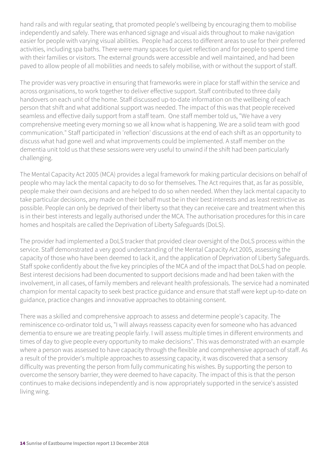hand rails and with regular seating, that promoted people's wellbeing by encouraging them to mobilise independently and safely. There was enhanced signage and visual aids throughout to make navigation easier for people with varying visual abilities. People had access to different areas to use for their preferred activities, including spa baths. There were many spaces for quiet reflection and for people to spend time with their families or visitors. The external grounds were accessible and well maintained, and had been paved to allow people of all mobilities and needs to safely mobilise, with or without the support of staff.

The provider was very proactive in ensuring that frameworks were in place for staff within the service and across organisations, to work together to deliver effective support. Staff contributed to three daily handovers on each unit of the home. Staff discussed up-to-date information on the wellbeing of each person that shift and what additional support was needed. The impact of this was that people received seamless and effective daily support from a staff team. One staff member told us, "We have a very comprehensive meeting every morning so we all know what is happening. We are a solid team with good communication." Staff participated in 'reflection' discussions at the end of each shift as an opportunity to discuss what had gone well and what improvements could be implemented. A staff member on the dementia unit told us that these sessions were very useful to unwind if the shift had been particularly challenging.

The Mental Capacity Act 2005 (MCA) provides a legal framework for making particular decisions on behalf of people who may lack the mental capacity to do so for themselves. The Act requires that, as far as possible, people make their own decisions and are helped to do so when needed. When they lack mental capacity to take particular decisions, any made on their behalf must be in their best interests and as least restrictive as possible. People can only be deprived of their liberty so that they can receive care and treatment when this is in their best interests and legally authorised under the MCA. The authorisation procedures for this in care homes and hospitals are called the Deprivation of Liberty Safeguards (DoLS).

The provider had implemented a DoLS tracker that provided clear oversight of the DoLS process within the service. Staff demonstrated a very good understanding of the Mental Capacity Act 2005, assessing the capacity of those who have been deemed to lack it, and the application of Deprivation of Liberty Safeguards. Staff spoke confidently about the five key principles of the MCA and of the impact that DoLS had on people. Best interest decisions had been documented to support decisions made and had been taken with the involvement, in all cases, of family members and relevant health professionals. The service had a nominated champion for mental capacity to seek best practice guidance and ensure that staff were kept up-to-date on guidance, practice changes and innovative approaches to obtaining consent.

There was a skilled and comprehensive approach to assess and determine people's capacity. The reminiscence co-ordinator told us, "I will always reassess capacity even for someone who has advanced dementia to ensure we are treating people fairly. I will assess multiple times in different environments and times of day to give people every opportunity to make decisions". This was demonstrated with an example where a person was assessed to have capacity through the flexible and comprehensive approach of staff. As a result of the provider's multiple approaches to assessing capacity, it was discovered that a sensory difficulty was preventing the person from fully communicating his wishes. By supporting the person to overcome the sensory barrier, they were deemed to have capacity. The impact of this is that the person continues to make decisions independently and is now appropriately supported in the service's assisted living wing.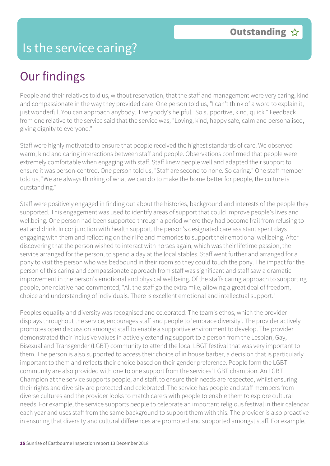### Is the service caring?

## Our findings

People and their relatives told us, without reservation, that the staff and management were very caring, kind and compassionate in the way they provided care. One person told us, "I can't think of a word to explain it, just wonderful. You can approach anybody. Everybody's helpful. So supportive, kind, quick." Feedback from one relative to the service said that the service was, "Loving, kind, happy safe, calm and personalised, giving dignity to everyone."

Staff were highly motivated to ensure that people received the highest standards of care. We observed warm, kind and caring interactions between staff and people. Observations confirmed that people were extremely comfortable when engaging with staff. Staff knew people well and adapted their support to ensure it was person-centred. One person told us, "Staff are second to none. So caring." One staff member told us, "We are always thinking of what we can do to make the home better for people, the culture is outstanding."

Staff were positively engaged in finding out about the histories, background and interests of the people they supported. This engagement was used to identify areas of support that could improve people's lives and wellbeing. One person had been supported through a period where they had become frail from refusing to eat and drink. In conjunction with health support, the person's designated care assistant spent days engaging with them and reflecting on their life and memories to support their emotional wellbeing. After discovering that the person wished to interact with horses again, which was their lifetime passion, the service arranged for the person, to spend a day at the local stables. Staff went further and arranged for a pony to visit the person who was bedbound in their room so they could touch the pony. The impact for the person of this caring and compassionate approach from staff was significant and staff saw a dramatic improvement in the person's emotional and physical wellbeing. Of the staffs caring approach to supporting people, one relative had commented, "All the staff go the extra mile, allowing a great deal of freedom, choice and understanding of individuals. There is excellent emotional and intellectual support."

Peoples equality and diversity was recognised and celebrated. The team's ethos, which the provider displays throughout the service, encourages staff and people to 'embrace diversity'. The provider actively promotes open discussion amongst staff to enable a supportive environment to develop. The provider demonstrated their inclusive values in actively extending support to a person from the Lesbian, Gay, Bisexual and Transgender (LGBT) community to attend the local LBGT festival that was very important to them. The person is also supported to access their choice of in house barber, a decision that is particularly important to them and reflects their choice based on their gender preference. People form the LGBT community are also provided with one to one support from the services' LGBT champion. An LGBT Champion at the service supports people, and staff, to ensure their needs are respected, whilst ensuring their rights and diversity are protected and celebrated. The service has people and staff members from diverse cultures and the provider looks to match carers with people to enable them to explore cultural needs. For example, the service supports people to celebrate an important religious festival in their calendar each year and uses staff from the same background to support them with this. The provider is also proactive in ensuring that diversity and cultural differences are promoted and supported amongst staff. For example,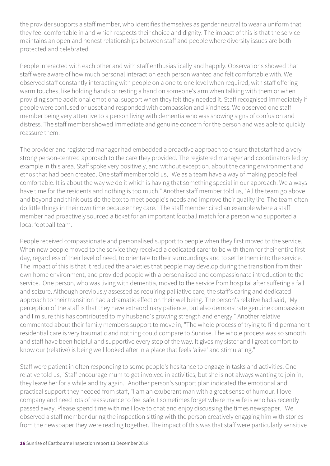the provider supports a staff member, who identifies themselves as gender neutral to wear a uniform that they feel comfortable in and which respects their choice and dignity. The impact of this is that the service maintains an open and honest relationships between staff and people where diversity issues are both protected and celebrated.

People interacted with each other and with staff enthusiastically and happily. Observations showed that staff were aware of how much personal interaction each person wanted and felt comfortable with. We observed staff constantly interacting with people on a one to one level when required, with staff offering warm touches, like holding hands or resting a hand on someone's arm when talking with them or when providing some additional emotional support when they felt they needed it. Staff recognised immediately if people were confused or upset and responded with compassion and kindness. We observed one staff member being very attentive to a person living with dementia who was showing signs of confusion and distress. The staff member showed immediate and genuine concern for the person and was able to quickly reassure them.

The provider and registered manager had embedded a proactive approach to ensure that staff had a very strong person-centred approach to the care they provided. The registered manager and coordinators led by example in this area. Staff spoke very positively, and without exception, about the caring environment and ethos that had been created. One staff member told us, "We as a team have a way of making people feel comfortable. It is about the way we do it which is having that something special in our approach. We always have time for the residents and nothing is too much." Another staff member told us, "All the team go above and beyond and think outside the box to meet people's needs and improve their quality life. The team often do little things in their own time because they care." The staff member cited an example where a staff member had proactively sourced a ticket for an important football match for a person who supported a local football team.

People received compassionate and personalised support to people when they first moved to the service. When new people moved to the service they received a dedicated carer to be with them for their entire first day, regardless of their level of need, to orientate to their surroundings and to settle them into the service. The impact of this is that it reduced the anxieties that people may develop during the transition from their own home environment, and provided people with a personalised and compassionate introduction to the service. One person, who was living with dementia, moved to the service from hospital after suffering a fall and seizure. Although previously assessed as requiring palliative care, the staff's caring and dedicated approach to their transition had a dramatic effect on their wellbeing. The person's relative had said, "My perception of the staff is that they have extraordinary patience, but also demonstrate genuine compassion and I'm sure this has contributed to my husband's growing strength and energy." Another relative commented about their family members support to move in, "The whole process of trying to find permanent residential care is very traumatic and nothing could compare to Sunrise. The whole process was so smooth and staff have been helpful and supportive every step of the way. It gives my sister and I great comfort to know our (relative) is being well looked after in a place that feels 'alive' and stimulating."

Staff were patient in often responding to some people's hesitance to engage in tasks and activities. One relative told us, "Staff encourage mum to get involved in activities, but she is not always wanting to join in, they leave her for a while and try again." Another person's support plan indicated the emotional and practical support they needed from staff, "I am an exuberant man with a great sense of humour. I love company and need lots of reassurance to feel safe. I sometimes forget where my wife is who has recently passed away. Please spend time with me I love to chat and enjoy discussing the times newspaper." We observed a staff member during the inspection sitting with the person creatively engaging him with stories from the newspaper they were reading together. The impact of this was that staff were particularly sensitive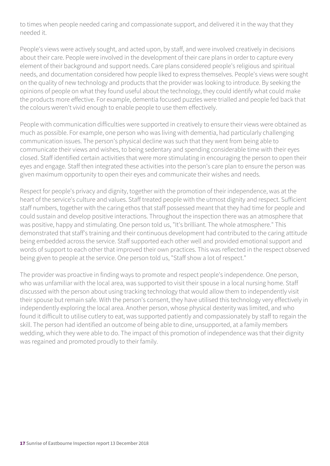to times when people needed caring and compassionate support, and delivered it in the way that they needed it.

People's views were actively sought, and acted upon, by staff, and were involved creatively in decisions about their care. People were involved in the development of their care plans in order to capture every element of their background and support needs. Care plans considered people's religious and spiritual needs, and documentation considered how people liked to express themselves. People's views were sought on the quality of new technology and products that the provider was looking to introduce. By seeking the opinions of people on what they found useful about the technology, they could identify what could make the products more effective. For example, dementia focused puzzles were trialled and people fed back that the colours weren't vivid enough to enable people to use them effectively.

People with communication difficulties were supported in creatively to ensure their views were obtained as much as possible. For example, one person who was living with dementia, had particularly challenging communication issues. The person's physical decline was such that they went from being able to communicate their views and wishes, to being sedentary and spending considerable time with their eyes closed. Staff identified certain activities that were more stimulating in encouraging the person to open their eyes and engage. Staff then integrated these activities into the person's care plan to ensure the person was given maximum opportunity to open their eyes and communicate their wishes and needs.

Respect for people's privacy and dignity, together with the promotion of their independence, was at the heart of the service's culture and values. Staff treated people with the utmost dignity and respect. Sufficient staff numbers, together with the caring ethos that staff possessed meant that they had time for people and could sustain and develop positive interactions. Throughout the inspection there was an atmosphere that was positive, happy and stimulating. One person told us, "It's brilliant. The whole atmosphere." This demonstrated that staff's training and their continuous development had contributed to the caring attitude being embedded across the service. Staff supported each other well and provided emotional support and words of support to each other that improved their own practices. This was reflected in the respect observed being given to people at the service. One person told us, "Staff show a lot of respect."

The provider was proactive in finding ways to promote and respect people's independence. One person, who was unfamiliar with the local area, was supported to visit their spouse in a local nursing home. Staff discussed with the person about using tracking technology that would allow them to independently visit their spouse but remain safe. With the person's consent, they have utilised this technology very effectively in independently exploring the local area. Another person, whose physical dexterity was limited, and who found it difficult to utilise cutlery to eat, was supported patiently and compassionately by staff to regain the skill. The person had identified an outcome of being able to dine, unsupported, at a family members wedding, which they were able to do. The impact of this promotion of independence was that their dignity was regained and promoted proudly to their family.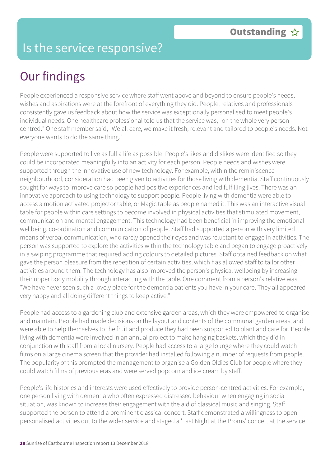## Is the service responsive?

## Our findings

People experienced a responsive service where staff went above and beyond to ensure people's needs, wishes and aspirations were at the forefront of everything they did. People, relatives and professionals consistently gave us feedback about how the service was exceptionally personalised to meet people's individual needs. One healthcare professional told us that the service was, "on the whole very personcentred." One staff member said, "We all care, we make it fresh, relevant and tailored to people's needs. Not everyone wants to do the same thing."

People were supported to live as full a life as possible. People's likes and dislikes were identified so they could be incorporated meaningfully into an activity for each person. People needs and wishes were supported through the innovative use of new technology. For example, within the reminiscence neighbourhood, consideration had been given to activities for those living with dementia. Staff continuously sought for ways to improve care so people had positive experiences and led fulfilling lives. There was an innovative approach to using technology to support people. People living with dementia were able to access a motion activated projector table, or Magic table as people named it. This was an interactive visual table for people within care settings to become involved in physical activities that stimulated movement, communication and mental engagement. This technology had been beneficial in improving the emotional wellbeing, co-ordination and communication of people. Staff had supported a person with very limited means of verbal communication, who rarely opened their eyes and was reluctant to engage in activities. The person was supported to explore the activities within the technology table and began to engage proactively in a swiping programme that required adding colours to detailed pictures. Staff obtained feedback on what gave the person pleasure from the repetition of certain activities, which has allowed staff to tailor other activities around them. The technology has also improved the person's physical wellbeing by increasing their upper body mobility through interacting with the table. One comment from a person's relative was, "We have never seen such a lovely place for the dementia patients you have in your care. They all appeared very happy and all doing different things to keep active."

People had access to a gardening club and extensive garden areas, which they were empowered to organise and maintain. People had made decisions on the layout and contents of the communal garden areas, and were able to help themselves to the fruit and produce they had been supported to plant and care for. People living with dementia were involved in an annual project to make hanging baskets, which they did in conjunction with staff from a local nursery. People had access to a large lounge where they could watch films on a large cinema screen that the provider had installed following a number of requests from people. The popularity of this prompted the management to organise a Golden Oldies Club for people where they could watch films of previous eras and were served popcorn and ice cream by staff.

People's life histories and interests were used effectively to provide person-centred activities. For example, one person living with dementia who often expressed distressed behaviour when engaging in social situation, was known to increase their engagement with the aid of classical music and singing. Staff supported the person to attend a prominent classical concert. Staff demonstrated a willingness to open personalised activities out to the wider service and staged a 'Last Night at the Proms' concert at the service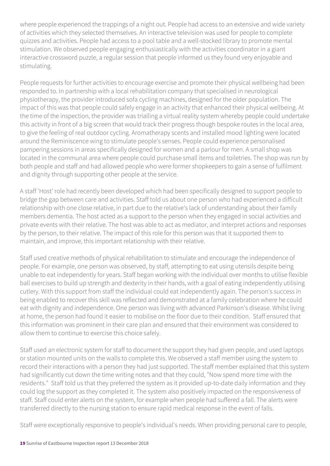where people experienced the trappings of a night out. People had access to an extensive and wide variety of activities which they selected themselves. An interactive television was used for people to complete quizzes and activities. People had access to a pool table and a well-stocked library to promote mental stimulation. We observed people engaging enthusiastically with the activities coordinator in a giant interactive crossword puzzle, a regular session that people informed us they found very enjoyable and stimulating.

People requests for further activities to encourage exercise and promote their physical wellbeing had been responded to. In partnership with a local rehabilitation company that specialised in neurological physiotherapy, the provider introduced sofa cycling machines, designed for the older population. The impact of this was that people could safely engage in an activity that enhanced their physical wellbeing. At the time of the inspection, the provider was trialling a virtual reality system whereby people could undertake this activity in front of a big screen that would track their progress though bespoke routes in the local area, to give the feeling of real outdoor cycling. Aromatherapy scents and installed mood lighting were located around the Reminiscence wing to stimulate people's senses. People could experience personalised pampering sessions in areas specifically designed for women and a parlour for men. A small shop was located in the communal area where people could purchase small items and toiletries. The shop was run by both people and staff and had allowed people who were former shopkeepers to gain a sense of fulfilment and dignity through supporting other people at the service.

A staff 'Host' role had recently been developed which had been specifically designed to support people to bridge the gap between care and activities. Staff told us about one person who had experienced a difficult relationship with one close relative, in part due to the relative's lack of understanding about their family members dementia. The host acted as a support to the person when they engaged in social activities and private events with their relative. The host was able to act as mediator, and interpret actions and responses by the person, to their relative. The impact of this role for this person was that it supported them to maintain, and improve, this important relationship with their relative.

Staff used creative methods of physical rehabilitation to stimulate and encourage the independence of people. For example, one person was observed, by staff, attempting to eat using utensils despite being unable to eat independently for years. Staff began working with the individual over months to utilise flexible ball exercises to build up strength and dexterity in their hands, with a goal of eating independently utilising cutlery. With this support from staff the individual could eat independently again. The person's success in being enabled to recover this skill was reflected and demonstrated at a family celebration where he could eat with dignity and independence. One person was living with advanced Parkinson's disease. Whilst living at home, the person had found it easier to mobilise on the floor due to their condition. Staff ensured that this information was prominent in their care plan and ensured that their environment was considered to allow them to continue to exercise this choice safely.

Staff used an electronic system for staff to document the support they had given people, and used laptops or station mounted units on the walls to complete this. We observed a staff member using the system to record their interactions with a person they had just supported. The staff member explained that this system had significantly cut down the time writing notes and that they could, "Now spend more time with the residents." Staff told us that they preferred the system as it provided up-to-date daily information and they could log the support as they completed it. The system also positively impacted on the responsiveness of staff. Staff could enter alerts on the system, for example when people had suffered a fall. The alerts were transferred directly to the nursing station to ensure rapid medical response in the event of falls.

Staff were exceptionally responsive to people's individual's needs. When providing personal care to people,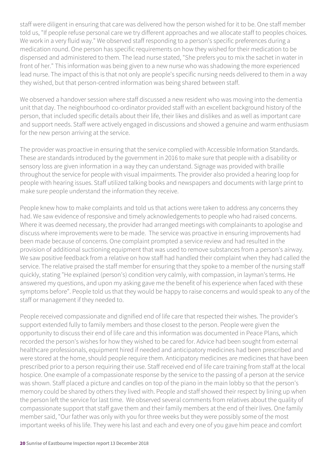staff were diligent in ensuring that care was delivered how the person wished for it to be. One staff member told us, "If people refuse personal care we try different approaches and we allocate staff to peoples choices. We work in a very fluid way." We observed staff responding to a person's specific preferences during a medication round. One person has specific requirements on how they wished for their medication to be dispensed and administered to them. The lead nurse stated, "She prefers you to mix the sachet in water in front of her." This information was being given to a new nurse who was shadowing the more experienced lead nurse. The impact of this is that not only are people's specific nursing needs delivered to them in a way they wished, but that person-centred information was being shared between staff.

We observed a handover session where staff discussed a new resident who was moving into the dementia unit that day. The neighbourhood co-ordinator provided staff with an excellent background history of the person, that included specific details about their life, their likes and dislikes and as well as important care and support needs. Staff were actively engaged in discussions and showed a genuine and warm enthusiasm for the new person arriving at the service.

The provider was proactive in ensuring that the service complied with Accessible Information Standards. These are standards introduced by the government in 2016 to make sure that people with a disability or sensory loss are given information in a way they can understand. Signage was provided with braille throughout the service for people with visual impairments. The provider also provided a hearing loop for people with hearing issues. Staff utilized talking books and newspapers and documents with large print to make sure people understand the information they receive.

People knew how to make complaints and told us that actions were taken to address any concerns they had. We saw evidence of responsive and timely acknowledgements to people who had raised concerns. Where it was deemed necessary, the provider had arranged meetings with complainants to apologise and discuss where improvements were to be made. The service was proactive in ensuring improvements had been made because of concerns. One complaint prompted a service review and had resulted in the provision of additional suctioning equipment that was used to remove substances from a person's airway. We saw positive feedback from a relative on how staff had handled their complaint when they had called the service. The relative praised the staff member for ensuring that they spoke to a member of the nursing staff quickly, stating "He explained (person's) condition very calmly, with compassion, in layman's terms. He answered my questions, and upon my asking gave me the benefit of his experience when faced with these symptoms before". People told us that they would be happy to raise concerns and would speak to any of the staff or management if they needed to.

People received compassionate and dignified end of life care that respected their wishes. The provider's support extended fully to family members and those closest to the person. People were given the opportunity to discuss their end of life care and this information was documented in Peace Plans, which recorded the person's wishes for how they wished to be cared for. Advice had been sought from external healthcare professionals, equipment hired if needed and anticipatory medicines had been prescribed and were stored at the home, should people require them. Anticipatory medicines are medicines that have been prescribed prior to a person requiring their use. Staff received end of life care training from staff at the local hospice. One example of a compassionate response by the service to the passing of a person at the service was shown. Staff placed a picture and candles on top of the piano in the main lobby so that the person's memory could be shared by others they lived with. People and staff showed their respect by lining up when the person left the service for last time. We observed several comments from relatives about the quality of compassionate support that staff gave them and their family members at the end of their lives. One family member said, "Our father was only with you for three weeks but they were possibly some of the most important weeks of his life. They were his last and each and every one of you gave him peace and comfort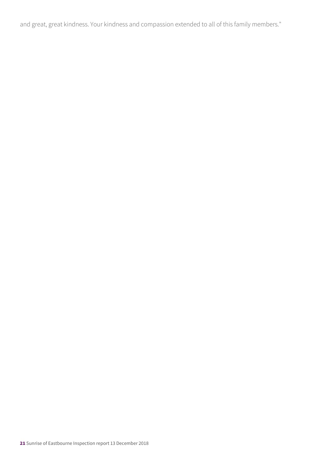and great, great kindness. Your kindness and compassion extended to all of this family members."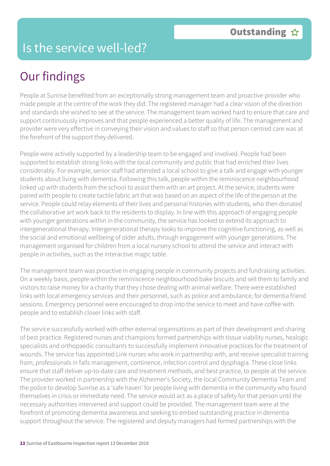## Is the service well-led?

## Our findings

People at Sunrise benefited from an exceptionally strong management team and proactive provider who made people at the centre of the work they did. The registered manager had a clear vision of the direction and standards she wished to see at the service. The management team worked hard to ensure that care and support continuously improves and that people experienced a better quality of life. The management and provider were very effective in conveying their vision and values to staff so that person centred care was at the forefront of the support they delivered.

People were actively supported by a leadership team to be engaged and involved. People had been supported to establish strong links with the local community and public that had enriched their lives considerably. For example, senior staff had attended a local school to give a talk and engage with younger students about living with dementia. Following this talk, people within the reminiscence neighbourhood linked up with students from the school to assist them with an art project. At the service, students were paired with people to create tactile fabric art that was based on an aspect of the life of the person at the service. People could relay elements of their lives and personal histories with students, who then donated the collaborative art work back to the residents to display. In line with this approach of engaging people with younger generations within in the community, the service has looked to extend its approach to intergenerational therapy. Intergenerational therapy looks to improve the cognitive functioning, as well as the social and emotional wellbeing of older adults, through engagement with younger generations. The management organised for children from a local nursery school to attend the service and interact with people in activities, such as the interactive magic table.

The management team was proactive in engaging people in community projects and fundraising activities. On a weekly basis, people within the reminiscence neighbourhood bake biscuits and sell them to family and visitors to raise money for a charity that they chose dealing with animal welfare. There were established links with local emergency services and their personnel, such as police and ambulance, for dementia friend sessions. Emergency personnel were encouraged to drop into the service to meet and have coffee with people and to establish closer links with staff.

The service successfully worked with other external organisations as part of their development and sharing of best practice. Registered nurses and champions formed partnerships with tissue viability nurses, healogic specialists and orthopaedic consultants to successfully implement innovative practices for the treatment of wounds. The service has appointed Link nurses who work in partnership with, and receive specialist training from, professionals in falls management, continence, infection control and dysphagia. These close links ensure that staff deliver up-to-date care and treatment methods, and best practice, to people at the service. The provider worked in partnership with the Alzheimer's Society, the local Community Dementia Team and the police to develop Sunrise as a 'safe haven' for people living with dementia in the community who found themselves in crisis or immediate need. The service would act as a place of safety for that person until the necessary authorities intervened and support could be provided. The management team were at the forefront of promoting dementia awareness and seeking to embed outstanding practice in dementia support throughout the service. The registered and deputy managers had formed partnerships with the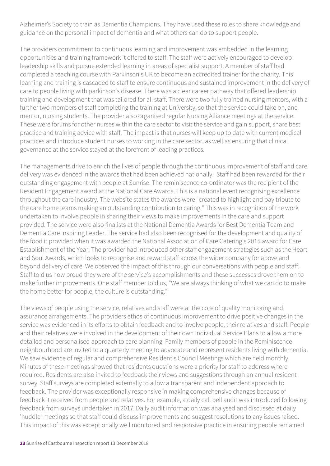Alzheimer's Society to train as Dementia Champions. They have used these roles to share knowledge and guidance on the personal impact of dementia and what others can do to support people.

The providers commitment to continuous learning and improvement was embedded in the learning opportunities and training framework it offered to staff. The staff were actively encouraged to develop leadership skills and pursue extended learning in areas of specialist support. A member of staff had completed a teaching course with Parkinson's UK to become an accredited trainer for the charity. This learning and training is cascaded to staff to ensure continuous and sustained improvement in the delivery of care to people living with parkinson's disease. There was a clear career pathway that offered leadership training and development that was tailored for all staff. There were two fully trained nursing mentors, with a further two members of staff completing the training at University, so that the service could take on, and mentor, nursing students. The provider also organised regular Nursing Alliance meetings at the service. These were forums for other nurses within the care sector to visit the service and gain support, share best practice and training advice with staff. The impact is that nurses will keep up to date with current medical practices and introduce student nurses to working in the care sector, as well as ensuring that clinical governance at the service stayed at the forefront of leading practices.

The managements drive to enrich the lives of people through the continuous improvement of staff and care delivery was evidenced in the awards that had been achieved nationally. Staff had been rewarded for their outstanding engagement with people at Sunrise. The reminiscence co-ordinator was the recipient of the Resident Engagement award at the National Care Awards. This is a national event recognising excellence throughout the care industry. The website states the awards were "created to highlight and pay tribute to the care home teams making an outstanding contribution to caring." This was in recognition of the work undertaken to involve people in sharing their views to make improvements in the care and support provided. The service were also finalists at the National Dementia Awards for Best Dementia Team and Dementia Care Inspiring Leader. The service had also been recognised for the development and quality of the food it provided when it was awarded the National Association of Care Catering's 2015 award for Care Establishment of the Year. The provider had introduced other staff engagement strategies such as the Heart and Soul Awards, which looks to recognise and reward staff across the wider company for above and beyond delivery of care. We observed the impact of this through our conversations with people and staff. Staff told us how proud they were of the service's accomplishments and these successes drove them on to make further improvements. One staff member told us, "We are always thinking of what we can do to make the home better for people, the culture is outstanding."

The views of people using the service, relatives and staff were at the core of quality monitoring and assurance arrangements. The providers ethos of continuous improvement to drive positive changes in the service was evidenced in its efforts to obtain feedback and to involve people, their relatives and staff. People and their relatives were involved in the development of their own Individual Service Plans to allow a more detailed and personalised approach to care planning. Family members of people in the Reminiscence neighbourhood are invited to a quarterly meeting to advocate and represent residents living with dementia. We saw evidence of regular and comprehensive Resident's Council Meetings which are held monthly. Minutes of these meetings showed that residents questions were a priority for staff to address where required. Residents are also invited to feedback their views and suggestions through an annual resident survey. Staff surveys are completed externally to allow a transparent and independent approach to feedback. The provider was exceptionally responsive in making comprehensive changes because of feedback it received from people and relatives. For example, a daily call bell audit was introduced following feedback from surveys undertaken in 2017. Daily audit information was analysed and discussed at daily 'huddle' meetings so that staff could discuss improvements and suggest resolutions to any issues raised. This impact of this was exceptionally well monitored and responsive practice in ensuring people remained